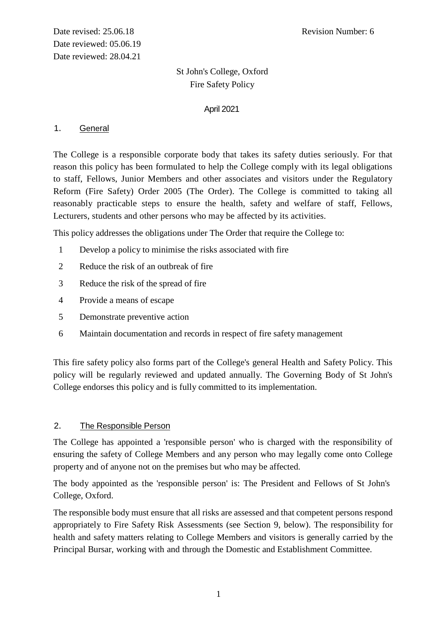# St John's College, Oxford Fire Safety Policy

### April 2021

### 1. General

The College is a responsible corporate body that takes its safety duties seriously. For that reason this policy has been formulated to help the College comply with its legal obligations to staff, Fellows, Junior Members and other associates and visitors under the Regulatory Reform (Fire Safety) Order 2005 (The Order). The College is committed to taking all reasonably practicable steps to ensure the health, safety and welfare of staff, Fellows, Lecturers, students and other persons who may be affected by its activities.

This policy addresses the obligations under The Order that require the College to:

- 1 Develop a policy to minimise the risks associated with fire
- 2 Reduce the risk of an outbreak of fire
- 3 Reduce the risk of the spread of fire
- 4 Provide a means of escape
- 5 Demonstrate preventive action
- 6 Maintain documentation and records in respect of fire safety management

This fire safety policy also forms part of the College's general Health and Safety Policy. This policy will be regularly reviewed and updated annually. The Governing Body of St John's College endorses this policy and is fully committed to its implementation.

# 2. The Responsible Person

The College has appointed a 'responsible person' who is charged with the responsibility of ensuring the safety of College Members and any person who may legally come onto College property and of anyone not on the premises but who may be affected.

The body appointed as the 'responsible person' is: The President and Fellows of St John's College, Oxford.

The responsible body must ensure that all risks are assessed and that competent persons respond appropriately to Fire Safety Risk Assessments (see Section 9, below). The responsibility for health and safety matters relating to College Members and visitors is generally carried by the Principal Bursar, working with and through the Domestic and Establishment Committee.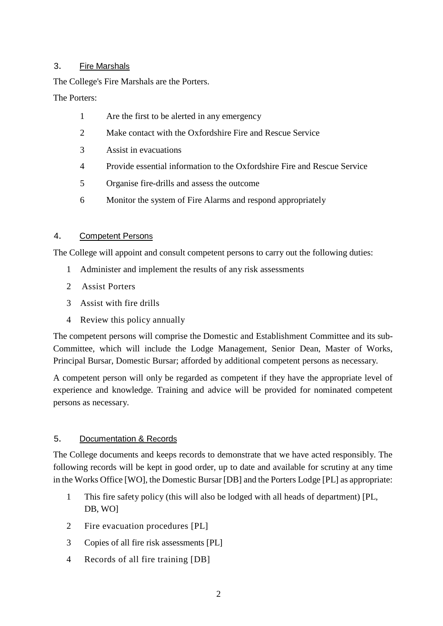### 3. Fire Marshals

The College's Fire Marshals are the Porters.

The Porters:

- 1 Are the first to be alerted in any emergency
- 2 Make contact with the Oxfordshire Fire and Rescue Service
- 3 Assist in evacuations
- 4 Provide essential information to the Oxfordshire Fire and Rescue Service
- 5 Organise fire-drills and assess the outcome
- 6 Monitor the system of Fire Alarms and respond appropriately

# 4. Competent Persons

The College will appoint and consult competent persons to carry out the following duties:

- 1 Administer and implement the results of any risk assessments
- 2 Assist Porters
- 3 Assist with fire drills
- 4 Review this policy annually

The competent persons will comprise the Domestic and Establishment Committee and its sub-Committee, which will include the Lodge Management, Senior Dean, Master of Works, Principal Bursar, Domestic Bursar; afforded by additional competent persons as necessary.

A competent person will only be regarded as competent if they have the appropriate level of experience and knowledge. Training and advice will be provided for nominated competent persons as necessary.

# 5. Documentation & Records

The College documents and keeps records to demonstrate that we have acted responsibly. The following records will be kept in good order, up to date and available for scrutiny at any time in the Works Office [WO], the Domestic Bursar [DB] and the Porters Lodge [PL] as appropriate:

- 1 This fire safety policy (this will also be lodged with all heads of department) [PL, DB, WO]
- 2 Fire evacuation procedures [PL]
- 3 Copies of all fire risk assessments [PL]
- 4 Records of all fire training [DB]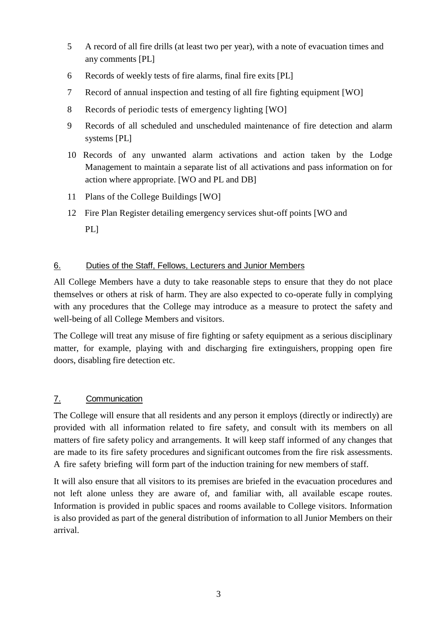- 5 A record of all fire drills (at least two per year), with a note of evacuation times and any comments [PL]
- 6 Records of weekly tests of fire alarms, final fire exits [PL]
- 7 Record of annual inspection and testing of all fire fighting equipment [WO]
- 8 Records of periodic tests of emergency lighting [WO]
- 9 Records of all scheduled and unscheduled maintenance of fire detection and alarm systems [PL]
- 10 Records of any unwanted alarm activations and action taken by the Lodge Management to maintain a separate list of all activations and pass information on for action where appropriate. [WO and PL and DB]
- 11 Plans of the College Buildings [WO]
- 12 Fire Plan Register detailing emergency services shut-off points [WO and PL]

# 6. Duties of the Staff, Fellows, Lecturers and Junior Members

All College Members have a duty to take reasonable steps to ensure that they do not place themselves or others at risk of harm. They are also expected to co-operate fully in complying with any procedures that the College may introduce as a measure to protect the safety and well-being of all College Members and visitors.

The College will treat any misuse of fire fighting or safety equipment as a serious disciplinary matter, for example, playing with and discharging fire extinguishers, propping open fire doors, disabling fire detection etc.

# 7. Communication

The College will ensure that all residents and any person it employs (directly or indirectly) are provided with all information related to fire safety, and consult with its members on all matters of fire safety policy and arrangements. It will keep staff informed of any changes that are made to its fire safety procedures and significant outcomes from the fire risk assessments. A fire safety briefing will form part of the induction training for new members of staff.

It will also ensure that all visitors to its premises are briefed in the evacuation procedures and not left alone unless they are aware of, and familiar with, all available escape routes. Information is provided in public spaces and rooms available to College visitors. Information is also provided as part of the general distribution of information to all Junior Members on their arrival.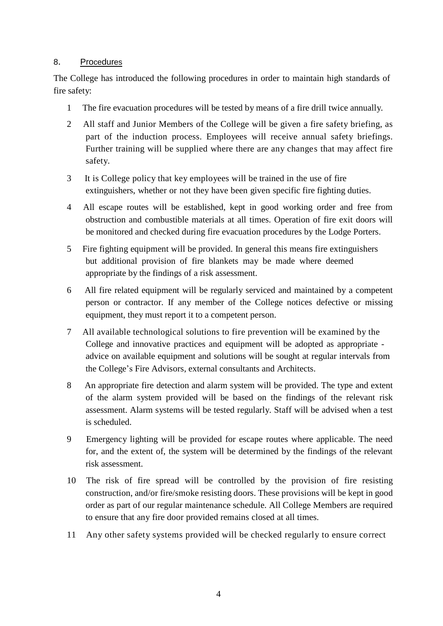#### 8. Procedures

The College has introduced the following procedures in order to maintain high standards of fire safety:

- 1 The fire evacuation procedures will be tested by means of a fire drill twice annually.
- 2 All staff and Junior Members of the College will be given a fire safety briefing, as part of the induction process. Employees will receive annual safety briefings. Further training will be supplied where there are any changes that may affect fire safety.
- 3 It is College policy that key employees will be trained in the use of fire extinguishers, whether or not they have been given specific fire fighting duties.
- 4 All escape routes will be established, kept in good working order and free from obstruction and combustible materials at all times. Operation of fire exit doors will be monitored and checked during fire evacuation procedures by the Lodge Porters.
- 5 Fire fighting equipment will be provided. In general this means fire extinguishers but additional provision of fire blankets may be made where deemed appropriate by the findings of a risk assessment.
- 6 All fire related equipment will be regularly serviced and maintained by a competent person or contractor. If any member of the College notices defective or missing equipment, they must report it to a competent person.
- 7 All available technological solutions to fire prevention will be examined by the College and innovative practices and equipment will be adopted as appropriate advice on available equipment and solutions will be sought at regular intervals from the College's Fire Advisors, external consultants and Architects.
- 8 An appropriate fire detection and alarm system will be provided. The type and extent of the alarm system provided will be based on the findings of the relevant risk assessment. Alarm systems will be tested regularly. Staff will be advised when a test is scheduled.
- 9 Emergency lighting will be provided for escape routes where applicable. The need for, and the extent of, the system will be determined by the findings of the relevant risk assessment.
- 10 The risk of fire spread will be controlled by the provision of fire resisting construction, and/or fire/smoke resisting doors. These provisions will be kept in good order as part of our regular maintenance schedule. All College Members are required to ensure that any fire door provided remains closed at all times.
- 11 Any other safety systems provided will be checked regularly to ensure correct